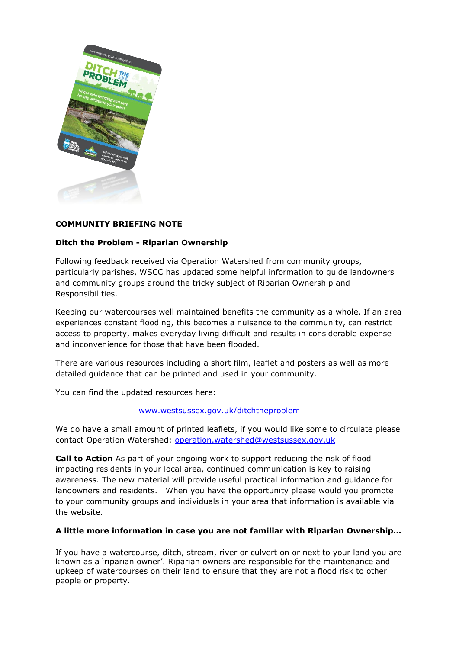

## **COMMUNITY BRIEFING NOTE**

## **Ditch the Problem - Riparian Ownership**

Following feedback received via Operation Watershed from community groups, particularly parishes, WSCC has updated some helpful information to guide landowners and community groups around the tricky subject of Riparian Ownership and Responsibilities.

Keeping our watercourses well maintained benefits the community as a whole. If an area experiences constant flooding, this becomes a nuisance to the community, can restrict access to property, makes everyday living difficult and results in considerable expense and inconvenience for those that have been flooded.

There are various resources including a short film, leaflet and posters as well as more detailed guidance that can be printed and used in your community.

You can find the updated resources here:

## [www.westsussex.gov.uk/ditchtheproblem](file://///chinas01/groups.h&t/Sharepoint%20Migration/Structures/5.%20Operation%20Watershed%204/3.%20Communications/Riparian/www.westsussex.gov.uk/ditchtheproblem)

We do have a small amount of printed leaflets, if you would like some to circulate please contact Operation Watershed: [operation.watershed@westsussex.gov.uk](mailto:operation.watershed@westsussex.gov.uk)

**Call to Action** As part of your ongoing work to support reducing the risk of flood impacting residents in your local area, continued communication is key to raising awareness. The new material will provide useful practical information and guidance for landowners and residents. When you have the opportunity please would you promote to your community groups and individuals in your area that information is available via the website.

## **A little more information in case you are not familiar with Riparian Ownership…**

If you have a watercourse, ditch, stream, river or culvert on or next to your land you are known as a 'riparian owner'. Riparian owners are responsible for the maintenance and upkeep of watercourses on their land to ensure that they are not a flood risk to other people or property.